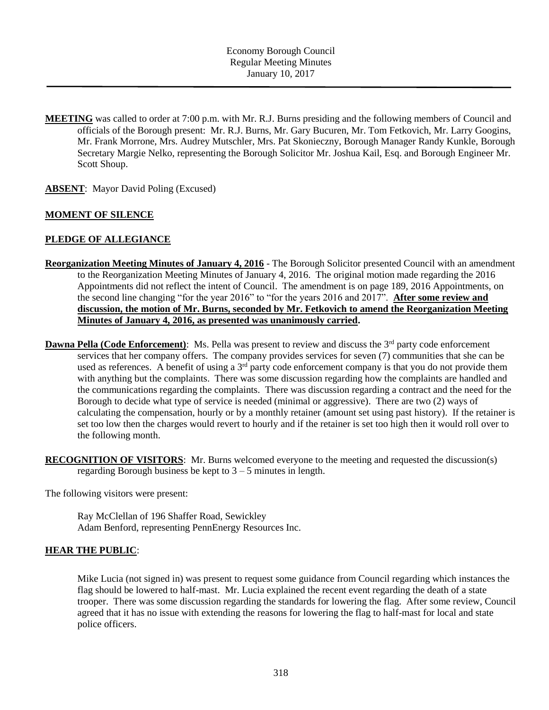- **MEETING** was called to order at 7:00 p.m. with Mr. R.J. Burns presiding and the following members of Council and officials of the Borough present: Mr. R.J. Burns, Mr. Gary Bucuren, Mr. Tom Fetkovich, Mr. Larry Googins, Mr. Frank Morrone, Mrs. Audrey Mutschler, Mrs. Pat Skonieczny, Borough Manager Randy Kunkle, Borough Secretary Margie Nelko, representing the Borough Solicitor Mr. Joshua Kail, Esq. and Borough Engineer Mr. Scott Shoup.
- **ABSENT**: Mayor David Poling (Excused)

# **MOMENT OF SILENCE**

# **PLEDGE OF ALLEGIANCE**

- **Reorganization Meeting Minutes of January 4, 2016** The Borough Solicitor presented Council with an amendment to the Reorganization Meeting Minutes of January 4, 2016. The original motion made regarding the 2016 Appointments did not reflect the intent of Council. The amendment is on page 189, 2016 Appointments, on the second line changing "for the year 2016" to "for the years 2016 and 2017". **After some review and discussion, the motion of Mr. Burns, seconded by Mr. Fetkovich to amend the Reorganization Meeting Minutes of January 4, 2016, as presented was unanimously carried.**
- **Dawna Pella (Code Enforcement):** Ms. Pella was present to review and discuss the 3<sup>rd</sup> party code enforcement services that her company offers. The company provides services for seven (7) communities that she can be used as references. A benefit of using a 3<sup>rd</sup> party code enforcement company is that you do not provide them with anything but the complaints. There was some discussion regarding how the complaints are handled and the communications regarding the complaints. There was discussion regarding a contract and the need for the Borough to decide what type of service is needed (minimal or aggressive). There are two (2) ways of calculating the compensation, hourly or by a monthly retainer (amount set using past history). If the retainer is set too low then the charges would revert to hourly and if the retainer is set too high then it would roll over to the following month.
- **RECOGNITION OF VISITORS**: Mr. Burns welcomed everyone to the meeting and requested the discussion(s) regarding Borough business be kept to  $3 - 5$  minutes in length.

The following visitors were present:

Ray McClellan of 196 Shaffer Road, Sewickley Adam Benford, representing PennEnergy Resources Inc.

#### **HEAR THE PUBLIC**:

Mike Lucia (not signed in) was present to request some guidance from Council regarding which instances the flag should be lowered to half-mast. Mr. Lucia explained the recent event regarding the death of a state trooper. There was some discussion regarding the standards for lowering the flag. After some review, Council agreed that it has no issue with extending the reasons for lowering the flag to half-mast for local and state police officers.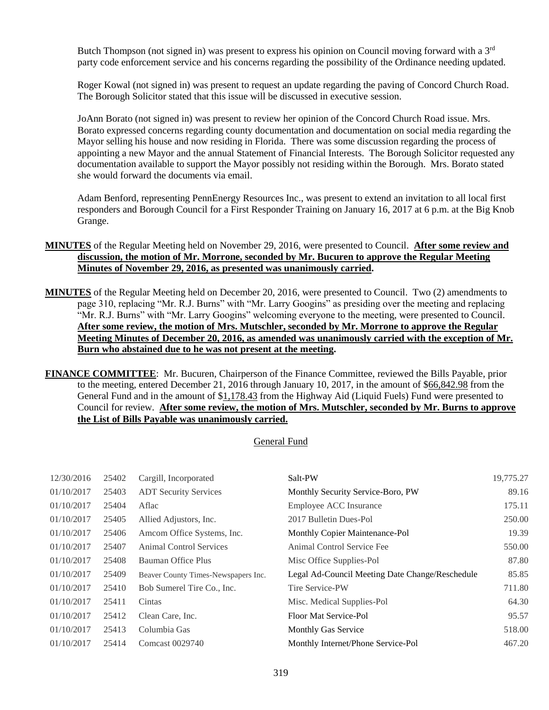Butch Thompson (not signed in) was present to express his opinion on Council moving forward with a 3<sup>rd</sup> party code enforcement service and his concerns regarding the possibility of the Ordinance needing updated.

Roger Kowal (not signed in) was present to request an update regarding the paving of Concord Church Road. The Borough Solicitor stated that this issue will be discussed in executive session.

JoAnn Borato (not signed in) was present to review her opinion of the Concord Church Road issue. Mrs. Borato expressed concerns regarding county documentation and documentation on social media regarding the Mayor selling his house and now residing in Florida. There was some discussion regarding the process of appointing a new Mayor and the annual Statement of Financial Interests. The Borough Solicitor requested any documentation available to support the Mayor possibly not residing within the Borough. Mrs. Borato stated she would forward the documents via email.

Adam Benford, representing PennEnergy Resources Inc., was present to extend an invitation to all local first responders and Borough Council for a First Responder Training on January 16, 2017 at 6 p.m. at the Big Knob Grange.

- **MINUTES** of the Regular Meeting held on November 29, 2016, were presented to Council. **After some review and discussion, the motion of Mr. Morrone, seconded by Mr. Bucuren to approve the Regular Meeting Minutes of November 29, 2016, as presented was unanimously carried.**
- **MINUTES** of the Regular Meeting held on December 20, 2016, were presented to Council. Two (2) amendments to page 310, replacing "Mr. R.J. Burns" with "Mr. Larry Googins" as presiding over the meeting and replacing "Mr. R.J. Burns" with "Mr. Larry Googins" welcoming everyone to the meeting, were presented to Council. **After some review, the motion of Mrs. Mutschler, seconded by Mr. Morrone to approve the Regular Meeting Minutes of December 20, 2016, as amended was unanimously carried with the exception of Mr. Burn who abstained due to he was not present at the meeting.**

**FINANCE COMMITTEE**: Mr. Bucuren, Chairperson of the Finance Committee, reviewed the Bills Payable, prior to the meeting, entered December 21, 2016 through January 10, 2017, in the amount of \$66,842.98 from the General Fund and in the amount of \$1,178.43 from the Highway Aid (Liquid Fuels) Fund were presented to Council for review. **After some review, the motion of Mrs. Mutschler, seconded by Mr. Burns to approve the List of Bills Payable was unanimously carried.**

#### General Fund

| 12/30/2016 | 25402 | Cargill, Incorporated               | Salt-PW                                         | 19,775.27 |
|------------|-------|-------------------------------------|-------------------------------------------------|-----------|
| 01/10/2017 | 25403 | <b>ADT Security Services</b>        | Monthly Security Service-Boro, PW               | 89.16     |
| 01/10/2017 | 25404 | Aflac                               | Employee ACC Insurance                          | 175.11    |
| 01/10/2017 | 25405 | Allied Adjustors, Inc.              | 2017 Bulletin Dues-Pol                          | 250.00    |
| 01/10/2017 | 25406 | Amcom Office Systems, Inc.          | Monthly Copier Maintenance-Pol                  | 19.39     |
| 01/10/2017 | 25407 | <b>Animal Control Services</b>      | Animal Control Service Fee                      | 550.00    |
| 01/10/2017 | 25408 | Bauman Office Plus                  | Misc Office Supplies-Pol                        | 87.80     |
| 01/10/2017 | 25409 | Beaver County Times-Newspapers Inc. | Legal Ad-Council Meeting Date Change/Reschedule | 85.85     |
| 01/10/2017 | 25410 | Bob Sumerel Tire Co., Inc.          | Tire Service-PW                                 | 711.80    |
| 01/10/2017 | 25411 | Cintas                              | Misc. Medical Supplies-Pol                      | 64.30     |
| 01/10/2017 | 25412 | Clean Care, Inc.                    | Floor Mat Service-Pol                           | 95.57     |
| 01/10/2017 | 25413 | Columbia Gas                        | Monthly Gas Service                             | 518.00    |
| 01/10/2017 | 25414 | Comcast 0029740                     | Monthly Internet/Phone Service-Pol              | 467.20    |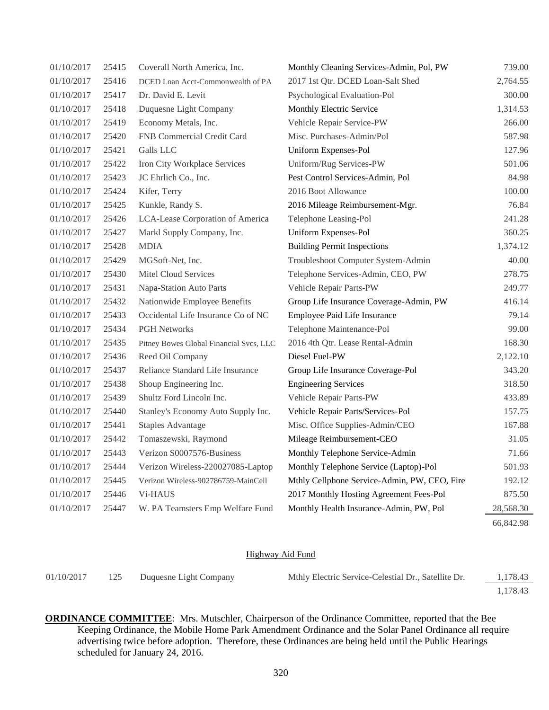| 01/10/2017 | 25415 | Coverall North America, Inc.            | Monthly Cleaning Services-Admin, Pol, PW     | 739.00    |
|------------|-------|-----------------------------------------|----------------------------------------------|-----------|
| 01/10/2017 | 25416 | DCED Loan Acct-Commonwealth of PA       | 2017 1st Qtr. DCED Loan-Salt Shed            | 2,764.55  |
| 01/10/2017 | 25417 | Dr. David E. Levit                      | Psychological Evaluation-Pol                 | 300.00    |
| 01/10/2017 | 25418 | Duquesne Light Company                  | Monthly Electric Service                     | 1,314.53  |
| 01/10/2017 | 25419 | Economy Metals, Inc.                    | Vehicle Repair Service-PW                    | 266.00    |
| 01/10/2017 | 25420 | FNB Commercial Credit Card              | Misc. Purchases-Admin/Pol                    | 587.98    |
| 01/10/2017 | 25421 | Galls LLC                               | Uniform Expenses-Pol                         | 127.96    |
| 01/10/2017 | 25422 | Iron City Workplace Services            | Uniform/Rug Services-PW                      | 501.06    |
| 01/10/2017 | 25423 | JC Ehrlich Co., Inc.                    | Pest Control Services-Admin, Pol             | 84.98     |
| 01/10/2017 | 25424 | Kifer, Terry                            | 2016 Boot Allowance                          | 100.00    |
| 01/10/2017 | 25425 | Kunkle, Randy S.                        | 2016 Mileage Reimbursement-Mgr.              | 76.84     |
| 01/10/2017 | 25426 | LCA-Lease Corporation of America        | Telephone Leasing-Pol                        | 241.28    |
| 01/10/2017 | 25427 | Markl Supply Company, Inc.              | Uniform Expenses-Pol                         | 360.25    |
| 01/10/2017 | 25428 | <b>MDIA</b>                             | <b>Building Permit Inspections</b>           | 1,374.12  |
| 01/10/2017 | 25429 | MGSoft-Net, Inc.                        | Troubleshoot Computer System-Admin           | 40.00     |
| 01/10/2017 | 25430 | Mitel Cloud Services                    | Telephone Services-Admin, CEO, PW            | 278.75    |
| 01/10/2017 | 25431 | Napa-Station Auto Parts                 | Vehicle Repair Parts-PW                      | 249.77    |
| 01/10/2017 | 25432 | Nationwide Employee Benefits            | Group Life Insurance Coverage-Admin, PW      | 416.14    |
| 01/10/2017 | 25433 | Occidental Life Insurance Co of NC      | Employee Paid Life Insurance                 | 79.14     |
| 01/10/2017 | 25434 | <b>PGH Networks</b>                     | Telephone Maintenance-Pol                    | 99.00     |
| 01/10/2017 | 25435 | Pitney Bowes Global Financial Svcs, LLC | 2016 4th Qtr. Lease Rental-Admin             | 168.30    |
| 01/10/2017 | 25436 | Reed Oil Company                        | Diesel Fuel-PW                               | 2,122.10  |
| 01/10/2017 | 25437 | Reliance Standard Life Insurance        | Group Life Insurance Coverage-Pol            | 343.20    |
| 01/10/2017 | 25438 | Shoup Engineering Inc.                  | <b>Engineering Services</b>                  | 318.50    |
| 01/10/2017 | 25439 | Shultz Ford Lincoln Inc.                | Vehicle Repair Parts-PW                      | 433.89    |
| 01/10/2017 | 25440 | Stanley's Economy Auto Supply Inc.      | Vehicle Repair Parts/Services-Pol            | 157.75    |
| 01/10/2017 | 25441 | <b>Staples Advantage</b>                | Misc. Office Supplies-Admin/CEO              | 167.88    |
| 01/10/2017 | 25442 | Tomaszewski, Raymond                    | Mileage Reimbursement-CEO                    | 31.05     |
| 01/10/2017 | 25443 | Verizon S0007576-Business               | Monthly Telephone Service-Admin              | 71.66     |
| 01/10/2017 | 25444 | Verizon Wireless-220027085-Laptop       | Monthly Telephone Service (Laptop)-Pol       | 501.93    |
| 01/10/2017 | 25445 | Verizon Wireless-902786759-MainCell     | Mthly Cellphone Service-Admin, PW, CEO, Fire | 192.12    |
| 01/10/2017 | 25446 | Vi-HAUS                                 | 2017 Monthly Hosting Agreement Fees-Pol      | 875.50    |
| 01/10/2017 | 25447 | W. PA Teamsters Emp Welfare Fund        | Monthly Health Insurance-Admin, PW, Pol      | 28,568.30 |
|            |       |                                         |                                              | 66,842.98 |

#### Highway Aid Fund

| 01/10/2017 | 125 | Duquesne Light Company | Mthly Electric Service-Celestial Dr., Satellite Dr. | 1.178.43 |
|------------|-----|------------------------|-----------------------------------------------------|----------|
|            |     |                        |                                                     | 1.178.43 |

**ORDINANCE COMMITTEE**: Mrs. Mutschler, Chairperson of the Ordinance Committee, reported that the Bee Keeping Ordinance, the Mobile Home Park Amendment Ordinance and the Solar Panel Ordinance all require advertising twice before adoption. Therefore, these Ordinances are being held until the Public Hearings scheduled for January 24, 2016.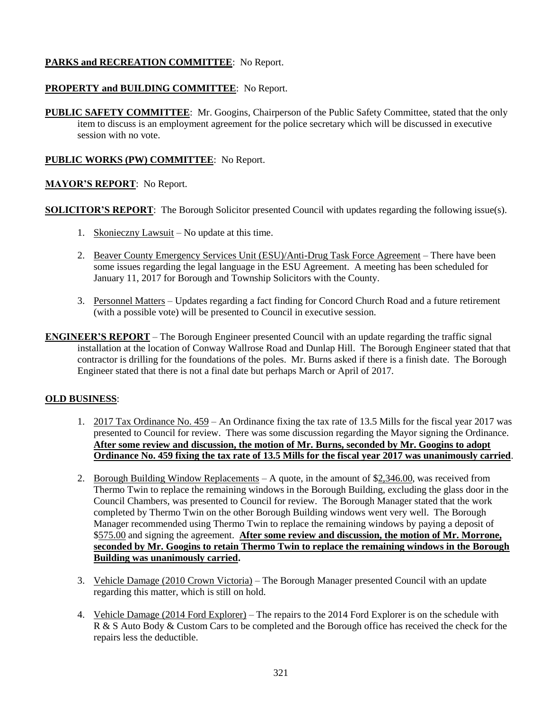# **PARKS and RECREATION COMMITTEE**: No Report.

# **PROPERTY and BUILDING COMMITTEE**: No Report.

**PUBLIC SAFETY COMMITTEE**: Mr. Googins, Chairperson of the Public Safety Committee, stated that the only item to discuss is an employment agreement for the police secretary which will be discussed in executive session with no vote.

# **PUBLIC WORKS (PW) COMMITTEE**: No Report.

# **MAYOR'S REPORT**: No Report.

**SOLICITOR'S REPORT:** The Borough Solicitor presented Council with updates regarding the following issue(s).

- 1. Skonieczny Lawsuit No update at this time.
- 2. Beaver County Emergency Services Unit (ESU)/Anti-Drug Task Force Agreement There have been some issues regarding the legal language in the ESU Agreement. A meeting has been scheduled for January 11, 2017 for Borough and Township Solicitors with the County.
- 3. Personnel Matters Updates regarding a fact finding for Concord Church Road and a future retirement (with a possible vote) will be presented to Council in executive session.
- **ENGINEER'S REPORT** The Borough Engineer presented Council with an update regarding the traffic signal installation at the location of Conway Wallrose Road and Dunlap Hill. The Borough Engineer stated that that contractor is drilling for the foundations of the poles. Mr. Burns asked if there is a finish date. The Borough Engineer stated that there is not a final date but perhaps March or April of 2017.

#### **OLD BUSINESS**:

- 1. 2017 Tax Ordinance No. 459 An Ordinance fixing the tax rate of 13.5 Mills for the fiscal year 2017 was presented to Council for review. There was some discussion regarding the Mayor signing the Ordinance. **After some review and discussion, the motion of Mr. Burns, seconded by Mr. Googins to adopt Ordinance No. 459 fixing the tax rate of 13.5 Mills for the fiscal year 2017 was unanimously carried**.
- 2. Borough Building Window Replacements A quote, in the amount of  $$2,346.00$ , was received from Thermo Twin to replace the remaining windows in the Borough Building, excluding the glass door in the Council Chambers, was presented to Council for review. The Borough Manager stated that the work completed by Thermo Twin on the other Borough Building windows went very well. The Borough Manager recommended using Thermo Twin to replace the remaining windows by paying a deposit of \$575.00 and signing the agreement. **After some review and discussion, the motion of Mr. Morrone, seconded by Mr. Googins to retain Thermo Twin to replace the remaining windows in the Borough Building was unanimously carried.**
- 3. Vehicle Damage (2010 Crown Victoria) The Borough Manager presented Council with an update regarding this matter, which is still on hold.
- 4. Vehicle Damage (2014 Ford Explorer) The repairs to the 2014 Ford Explorer is on the schedule with R & S Auto Body & Custom Cars to be completed and the Borough office has received the check for the repairs less the deductible.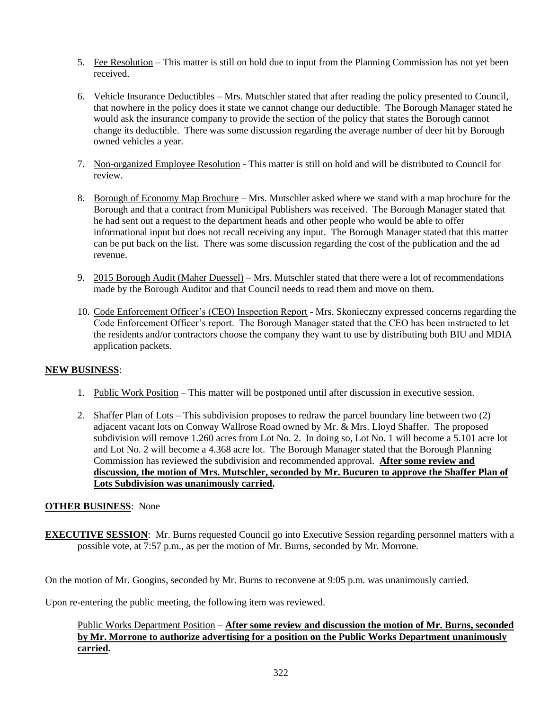- 5. Fee Resolution This matter is still on hold due to input from the Planning Commission has not yet been received.
- 6. Vehicle Insurance Deductibles Mrs. Mutschler stated that after reading the policy presented to Council, that nowhere in the policy does it state we cannot change our deductible. The Borough Manager stated he would ask the insurance company to provide the section of the policy that states the Borough cannot change its deductible. There was some discussion regarding the average number of deer hit by Borough owned vehicles a year.
- 7. Non-organized Employee Resolution This matter is still on hold and will be distributed to Council for review.
- 8. Borough of Economy Map Brochure Mrs. Mutschler asked where we stand with a map brochure for the Borough and that a contract from Municipal Publishers was received. The Borough Manager stated that he had sent out a request to the department heads and other people who would be able to offer informational input but does not recall receiving any input. The Borough Manager stated that this matter can be put back on the list. There was some discussion regarding the cost of the publication and the ad revenue.
- 9. 2015 Borough Audit (Maher Duessel) Mrs. Mutschler stated that there were a lot of recommendations made by the Borough Auditor and that Council needs to read them and move on them.
- 10. Code Enforcement Officer's (CEO) Inspection Report Mrs. Skonieczny expressed concerns regarding the Code Enforcement Officer's report. The Borough Manager stated that the CEO has been instructed to let the residents and/or contractors choose the company they want to use by distributing both BIU and MDIA application packets.

# **NEW BUSINESS**:

- 1. Public Work Position This matter will be postponed until after discussion in executive session.
- 2. Shaffer Plan of Lots This subdivision proposes to redraw the parcel boundary line between two (2) adjacent vacant lots on Conway Wallrose Road owned by Mr. & Mrs. Lloyd Shaffer. The proposed subdivision will remove 1.260 acres from Lot No. 2. In doing so, Lot No. 1 will become a 5.101 acre lot and Lot No. 2 will become a 4.368 acre lot. The Borough Manager stated that the Borough Planning Commission has reviewed the subdivision and recommended approval. **After some review and discussion, the motion of Mrs. Mutschler, seconded by Mr. Bucuren to approve the Shaffer Plan of Lots Subdivision was unanimously carried.**

#### **OTHER BUSINESS**: None

**EXECUTIVE SESSION:** Mr. Burns requested Council go into Executive Session regarding personnel matters with a possible vote, at 7:57 p.m., as per the motion of Mr. Burns, seconded by Mr. Morrone.

On the motion of Mr. Googins, seconded by Mr. Burns to reconvene at 9:05 p.m. was unanimously carried.

Upon re-entering the public meeting, the following item was reviewed.

#### Public Works Department Position – **After some review and discussion the motion of Mr. Burns, seconded by Mr. Morrone to authorize advertising for a position on the Public Works Department unanimously carried.**